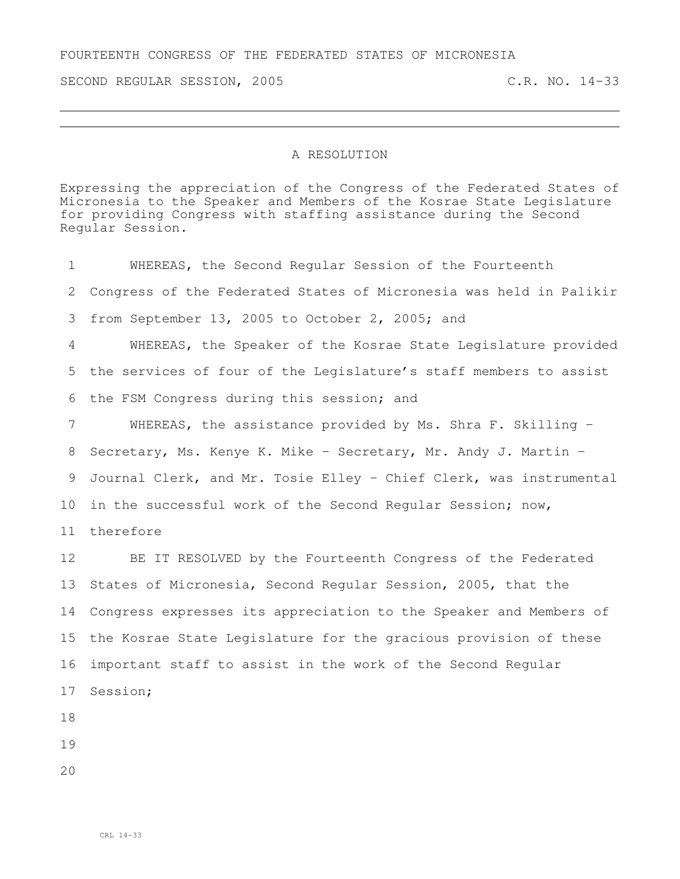FOURTEENTH CONGRESS OF THE FEDERATED STATES OF MICRONESIA

SECOND REGULAR SESSION, 2005 C.R. NO. 14-33

## A RESOLUTION

Expressing the appreciation of the Congress of the Federated States of Micronesia to the Speaker and Members of the Kosrae State Legislature for providing Congress with staffing assistance during the Second Regular Session.

| 1  | WHEREAS, the Second Regular Session of the Fourteenth              |
|----|--------------------------------------------------------------------|
| 2  | Congress of the Federated States of Micronesia was held in Palikir |
| 3  | from September 13, 2005 to October 2, 2005; and                    |
| 4  | WHEREAS, the Speaker of the Kosrae State Legislature provided      |
| 5  | the services of four of the Legislature's staff members to assist  |
| 6  | the FSM Congress during this session; and                          |
| 7  | WHEREAS, the assistance provided by Ms. Shra F. Skilling -         |
| 8  | Secretary, Ms. Kenye K. Mike - Secretary, Mr. Andy J. Martin -     |
| 9  | Journal Clerk, and Mr. Tosie Elley - Chief Clerk, was instrumental |
| 10 | in the successful work of the Second Regular Session; now,         |
| 11 | therefore                                                          |
| 12 | BE IT RESOLVED by the Fourteenth Congress of the Federated         |
| 13 | States of Micronesia, Second Regular Session, 2005, that the       |
| 14 | Congress expresses its appreciation to the Speaker and Members of  |
| 15 | the Kosrae State Legislature for the gracious provision of these   |
| 16 | important staff to assist in the work of the Second Regular        |
| 17 | Session;                                                           |
| 18 |                                                                    |
| 19 |                                                                    |
|    |                                                                    |